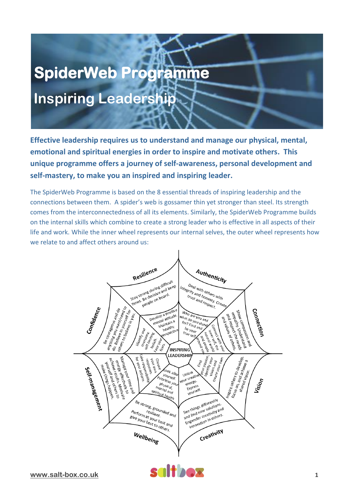# **SpiderWeb Programme Inspiring Leadership**

**Effective leadership requires us to understand and manage our physical, mental, emotional and spiritual energies in order to inspire and motivate others. This unique programme offers a journey of self-awareness, personal development and self-mastery, to make you an inspired and inspiring leader.**

The SpiderWeb Programme is based on the 8 essential threads of inspiring leadership and the connections between them. A spider's web is gossamer thin yet stronger than steel. Its strength comes from the interconnectedness of all its elements. Similarly, the SpiderWeb Programme builds on the internal skills which combine to create a strong leader who is effective in all aspects of their life and work. While the inner wheel represents our internal selves, the outer wheel represents how we relate to and affect others around us:

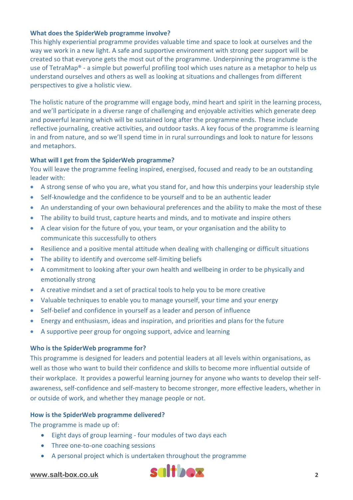## **What does the SpiderWeb programme involve?**

This highly experiential programme provides valuable time and space to look at ourselves and the way we work in a new light. A safe and supportive environment with strong peer support will be created so that everyone gets the most out of the programme. Underpinning the programme is the use of TetraMap® - a simple but powerful profiling tool which uses nature as a metaphor to help us understand ourselves and others as well as looking at situations and challenges from different perspectives to give a holistic view.

The holistic nature of the programme will engage body, mind heart and spirit in the learning process, and we'll participate in a diverse range of challenging and enjoyable activities which generate deep and powerful learning which will be sustained long after the programme ends. These include reflective journaling, creative activities, and outdoor tasks. A key focus of the programme is learning in and from nature, and so we'll spend time in in rural surroundings and look to nature for lessons and metaphors.

### **What will I get from the SpiderWeb programme?**

You will leave the programme feeling inspired, energised, focused and ready to be an outstanding leader with:

- A strong sense of who you are, what you stand for, and how this underpins your leadership style
- Self-knowledge and the confidence to be yourself and to be an authentic leader
- An understanding of your own behavioural preferences and the ability to make the most of these
- The ability to build trust, capture hearts and minds, and to motivate and inspire others
- A clear vision for the future of you, your team, or your organisation and the ability to communicate this successfully to others
- Resilience and a positive mental attitude when dealing with challenging or difficult situations
- The ability to identify and overcome self-limiting beliefs
- A commitment to looking after your own health and wellbeing in order to be physically and emotionally strong
- A creative mindset and a set of practical tools to help you to be more creative
- Valuable techniques to enable you to manage yourself, your time and your energy
- Self-belief and confidence in yourself as a leader and person of influence
- Energy and enthusiasm, ideas and inspiration, and priorities and plans for the future
- A supportive peer group for ongoing support, advice and learning

### **Who is the SpiderWeb programme for?**

This programme is designed for leaders and potential leaders at all levels within organisations, as well as those who want to build their confidence and skills to become more influential outside of their workplace. It provides a powerful learning journey for anyone who wants to develop their selfawareness, self-confidence and self-mastery to become stronger, more effective leaders, whether in or outside of work, and whether they manage people or not.

### **How is the SpiderWeb programme delivered?**

The programme is made up of:

- Eight days of group learning four modules of two days each
- Three one-to-one coaching sessions
- A personal project which is undertaken throughout the programme